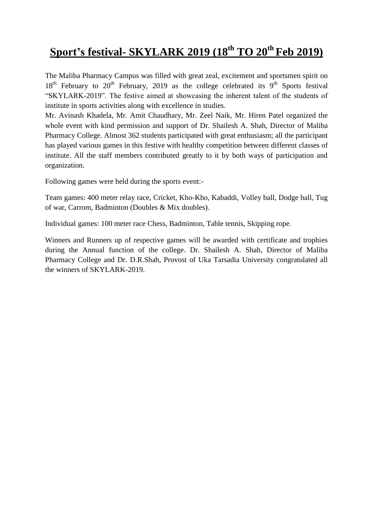## **Sport's festival- SKYLARK 2019 (18 th TO 20 th Feb 2019)**

The Maliba Pharmacy Campus was filled with great zeal, excitement and sportsmen spirit on  $18<sup>th</sup>$  February to  $20<sup>th</sup>$  February, 2019 as the college celebrated its 9<sup>th</sup> Sports festival "SKYLARK-2019". The festive aimed at showcasing the inherent talent of the students of institute in sports activities along with excellence in studies.

Mr. Avinash Khadela, Mr. Amit Chaudhary, Mr. Zeel Naik, Mr. Hiren Patel organized the whole event with kind permission and support of Dr. Shailesh A. Shah, Director of Maliba Pharmacy College. Almost 362 students participated with great enthusiasm; all the participant has played various games in this festive with healthy competition between different classes of institute. All the staff members contributed greatly to it by both ways of participation and organization.

Following games were held during the sports event:-

Team games: 400 meter relay race, Cricket, Kho-Kho, Kabaddi, Volley ball, Dodge ball, Tug of war, Carrom, Badminton (Doubles & Mix doubles).

Individual games: 100 meter race Chess, Badminton, Table tennis, Skipping rope.

Winners and Runners up of respective games will be awarded with certificate and trophies during the Annual function of the college. Dr. Shailesh A. Shah, Director of Maliba Pharmacy College and Dr. D.R.Shah, Provost of Uka Tarsadia University congratulated all the winners of SKYLARK-2019.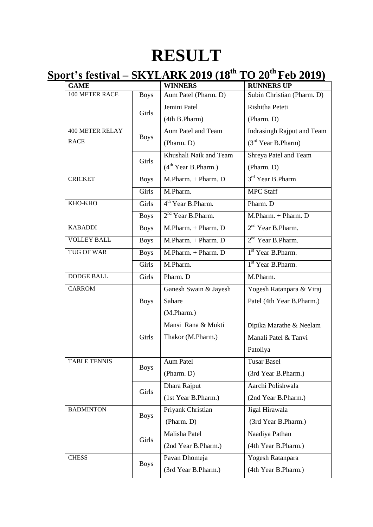## **RESULT**

## **Sport's festival – SKYLARK 2019 (18 th TO 20 th Feb 2019)**

| <b>GAME</b>            |             | <b>WINNERS</b>                   | <b>RUNNERS UP</b>              |
|------------------------|-------------|----------------------------------|--------------------------------|
| 100 METER RACE         | <b>Boys</b> | Aum Patel (Pharm. D)             | Subin Christian (Pharm. D)     |
|                        | Girls       | Jemini Patel                     | Rishitha Peteti                |
|                        |             | (4th B.Pharm)                    | (Pharm. D)                     |
| <b>400 METER RELAY</b> | <b>Boys</b> | Aum Patel and Team               | Indrasingh Rajput and Team     |
| <b>RACE</b>            |             | (Pharm. D)                       | (3 <sup>rd</sup> Year B.Pharm) |
|                        | Girls       | Khushali Naik and Team           | Shreya Patel and Team          |
|                        |             | (4 <sup>th</sup> Year B. Pharm.) | (Pharm. D)                     |
| <b>CRICKET</b>         | <b>Boys</b> | M.Pharm. + Pharm. D              | 3 <sup>rd</sup> Year B.Pharm   |
|                        | Girls       | M.Pharm.                         | <b>MPC Staff</b>               |
| KHO-KHO                | Girls       | 4 <sup>th</sup> Year B.Pharm.    | Pharm. D                       |
|                        | <b>Boys</b> | 2 <sup>nd</sup> Year B.Pharm.    | M.Pharm. + Pharm. D            |
| <b>KABADDI</b>         | <b>Boys</b> | M.Pharm. + Pharm. D              | 2 <sup>nd</sup> Year B.Pharm.  |
| <b>VOLLEY BALL</b>     | <b>Boys</b> | M.Pharm. + Pharm. D              | $2nd$ Year B.Pharm.            |
| <b>TUG OF WAR</b>      | <b>Boys</b> | M.Pharm. + Pharm. D              | 1 <sup>st</sup> Year B.Pharm.  |
|                        | Girls       | M.Pharm.                         | 1 <sup>st</sup> Year B.Pharm.  |
| <b>DODGE BALL</b>      | Girls       | Pharm. D                         | M.Pharm.                       |
| <b>CARROM</b>          |             | Ganesh Swain & Jayesh            | Yogesh Ratanpara & Viraj       |
|                        | <b>Boys</b> | Sahare                           | Patel (4th Year B.Pharm.)      |
|                        |             | (M.Pharm.)                       |                                |
|                        |             | Mansi Rana & Mukti               | Dipika Marathe & Neelam        |
|                        | Girls       | Thakor (M.Pharm.)                | Manali Patel & Tanvi           |
|                        |             |                                  | Patoliya                       |
| <b>TABLE TENNIS</b>    | <b>Boys</b> | Aum Patel                        | <b>Tusar Basel</b>             |
|                        |             | (Pharm. D)                       | (3rd Year B.Pharm.)            |
|                        | Girls       | Dhara Rajput                     | Aarchi Polishwala              |
|                        |             | (1st Year B.Pharm.)              | (2nd Year B.Pharm.)            |
| <b>BADMINTON</b>       | <b>Boys</b> | Priyank Christian                | Jigal Hirawala                 |
|                        |             | (Pharm. D)                       | (3rd Year B.Pharm.)            |
|                        | Girls       | Malisha Patel                    | Naadiya Pathan                 |
|                        |             | (2nd Year B.Pharm.)              | (4th Year B.Pharm.)            |
| <b>CHESS</b>           | <b>Boys</b> | Pavan Dhomeja                    | Yogesh Ratanpara               |
|                        |             | (3rd Year B.Pharm.)              | (4th Year B.Pharm.)            |
|                        |             |                                  |                                |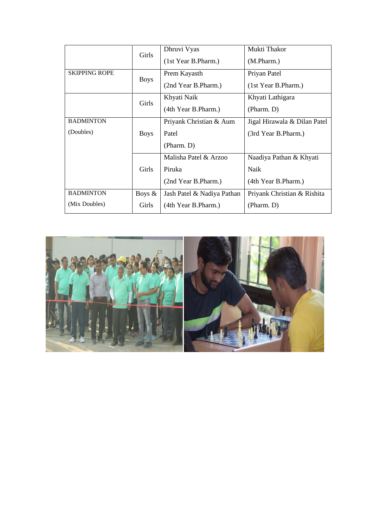|                      | Girls        | Dhruvi Vyas<br>(1st Year B.Pharm.) | Mukti Thakor<br>(M.Pharm.)   |
|----------------------|--------------|------------------------------------|------------------------------|
| <b>SKIPPING ROPE</b> | <b>Boys</b>  | Prem Kayasth                       | Priyan Patel                 |
|                      |              | (2nd Year B.Pharm.)                | (1st Year B.Pharm.)          |
|                      | Girls        | Khyati Naik                        | Khyati Lathigara             |
|                      |              | (4th Year B.Pharm.)                | (Pharm. D)                   |
| <b>BADMINTON</b>     |              | Priyank Christian & Aum            | Jigal Hirawala & Dilan Patel |
| (Doubles)            | <b>Boys</b>  | Patel                              | (3rd Year B.Pharm.)          |
|                      |              | (Pharm. D)                         |                              |
|                      |              | Malisha Patel & Arzoo              | Naadiya Pathan & Khyati      |
|                      | <b>Girls</b> | Piruka                             | Naik                         |
|                      |              | (2nd Year B.Pharm.)                | (4th Year B.Pharm.)          |
| <b>BADMINTON</b>     | Boys $\&$    | Jash Patel & Nadiya Pathan         | Priyank Christian & Rishita  |
| (Mix Doubles)        | Girls        | (4th Year B.Pharm.)                | (Pharm. D)                   |